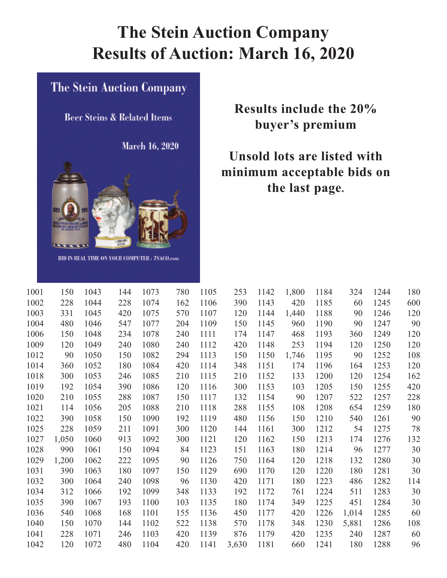# **The Stein Auction Company Results of Auction: March 16, 2020**

#### The Stein Auction Company

**Beer Steins & Related Items** 

March 16, 2020



**BID IN REAL TIME ON YOUR COMPUTER: TSACO.com** 

## **Results include the 20% buyer's premium**

## **Unsold lots are listed with minimum acceptable bids on the last page.**

| 1001 | 150   | 1043 | 144 | 1073 | 780 | 1105 | 253   | 1142 | 1,800 | 1184 | 324   | 1244 | 180 |
|------|-------|------|-----|------|-----|------|-------|------|-------|------|-------|------|-----|
| 1002 | 228   | 1044 | 228 | 1074 | 162 | 1106 | 390   | 1143 | 420   | 1185 | 60    | 1245 | 600 |
| 1003 | 331   | 1045 | 420 | 1075 | 570 | 1107 | 120   | 1144 | 1,440 | 1188 | 90    | 1246 | 120 |
| 1004 | 480   | 1046 | 547 | 1077 | 204 | 1109 | 150   | 1145 | 960   | 1190 | 90    | 1247 | 90  |
| 1006 | 150   | 1048 | 234 | 1078 | 240 | 1111 | 174   | 1147 | 468   | 1193 | 360   | 1249 | 120 |
| 1009 | 120   | 1049 | 240 | 1080 | 240 | 1112 | 420   | 1148 | 253   | 1194 | 120   | 1250 | 120 |
| 1012 | 90    | 1050 | 150 | 1082 | 294 | 1113 | 150   | 1150 | 1,746 | 1195 | 90    | 1252 | 108 |
| 1014 | 360   | 1052 | 180 | 1084 | 420 | 1114 | 348   | 1151 | 174   | 1196 | 164   | 1253 | 120 |
| 1018 | 300   | 1053 | 246 | 1085 | 210 | 1115 | 210   | 1152 | 133   | 1200 | 120   | 1254 | 162 |
| 1019 | 192   | 1054 | 390 | 1086 | 120 | 1116 | 300   | 1153 | 103   | 1205 | 150   | 1255 | 420 |
| 1020 | 210   | 1055 | 288 | 1087 | 150 | 1117 | 132   | 1154 | 90    | 1207 | 522   | 1257 | 228 |
| 1021 | 114   | 1056 | 205 | 1088 | 210 | 1118 | 288   | 1155 | 108   | 1208 | 654   | 1259 | 180 |
| 1022 | 390   | 1058 | 150 | 1090 | 192 | 1119 | 480   | 1156 | 150   | 1210 | 540   | 1261 | 90  |
| 1025 | 228   | 1059 | 211 | 1091 | 300 | 1120 | 144   | 1161 | 300   | 1212 | 54    | 1275 | 78  |
| 1027 | 1,050 | 1060 | 913 | 1092 | 300 | 1121 | 120   | 1162 | 150   | 1213 | 174   | 1276 | 132 |
| 1028 | 990   | 1061 | 150 | 1094 | 84  | 1123 | 151   | 1163 | 180   | 1214 | 96    | 1277 | 30  |
| 1029 | 1,200 | 1062 | 222 | 1095 | 90  | 1126 | 750   | 1164 | 120   | 1218 | 132   | 1280 | 30  |
| 1031 | 390   | 1063 | 180 | 1097 | 150 | 1129 | 690   | 1170 | 120   | 1220 | 180   | 1281 | 30  |
| 1032 | 300   | 1064 | 240 | 1098 | 96  | 1130 | 420   | 1171 | 180   | 1223 | 486   | 1282 | 114 |
| 1034 | 312   | 1066 | 192 | 1099 | 348 | 1133 | 192   | 1172 | 761   | 1224 | 511   | 1283 | 30  |
| 1035 | 390   | 1067 | 193 | 1100 | 103 | 1135 | 180   | 1174 | 349   | 1225 | 451   | 1284 | 30  |
| 1036 | 540   | 1068 | 168 | 1101 | 155 | 1136 | 450   | 1177 | 420   | 1226 | 1,014 | 1285 | 60  |
| 1040 | 150   | 1070 | 144 | 1102 | 522 | 1138 | 570   | 1178 | 348   | 1230 | 5,881 | 1286 | 108 |
| 1041 | 228   | 1071 | 246 | 1103 | 420 | 1139 | 876   | 1179 | 420   | 1235 | 240   | 1287 | 60  |
| 1042 | 120   | 1072 | 480 | 1104 | 420 | 1141 | 3,630 | 1181 | 660   | 1241 | 180   | 1288 | 96  |
|      |       |      |     |      |     |      |       |      |       |      |       |      |     |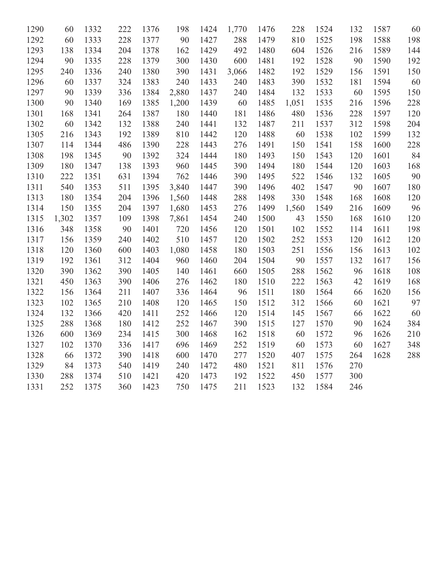| 1290 | 60    | 1332 | 222 | 1376 | 198   | 1424 | 1,770 | 1476 | 228   | 1524 | 132 | 1587 | 60  |
|------|-------|------|-----|------|-------|------|-------|------|-------|------|-----|------|-----|
| 1292 | 60    | 1333 | 228 | 1377 | 90    | 1427 | 288   | 1479 | 810   | 1525 | 198 | 1588 | 198 |
| 1293 | 138   | 1334 | 204 | 1378 | 162   | 1429 | 492   | 1480 | 604   | 1526 | 216 | 1589 | 144 |
| 1294 | 90    | 1335 | 228 | 1379 | 300   | 1430 | 600   | 1481 | 192   | 1528 | 90  | 1590 | 192 |
| 1295 | 240   | 1336 | 240 | 1380 | 390   | 1431 | 3,066 | 1482 | 192   | 1529 | 156 | 1591 | 150 |
| 1296 | 60    | 1337 | 324 | 1383 | 240   | 1433 | 240   | 1483 | 390   | 1532 | 181 | 1594 | 60  |
| 1297 | 90    | 1339 | 336 | 1384 | 2,880 | 1437 | 240   | 1484 | 132   | 1533 | 60  | 1595 | 150 |
| 1300 | 90    | 1340 | 169 | 1385 | 1,200 | 1439 | 60    | 1485 | 1,051 | 1535 | 216 | 1596 | 228 |
| 1301 | 168   | 1341 | 264 | 1387 | 180   | 1440 | 181   | 1486 | 480   | 1536 | 228 | 1597 | 120 |
| 1302 | 60    | 1342 | 132 | 1388 | 240   | 1441 | 132   | 1487 | 211   | 1537 | 312 | 1598 | 204 |
| 1305 | 216   | 1343 | 192 | 1389 | 810   | 1442 | 120   | 1488 | 60    | 1538 | 102 | 1599 | 132 |
| 1307 | 114   | 1344 | 486 | 1390 | 228   | 1443 | 276   | 1491 | 150   | 1541 | 158 | 1600 | 228 |
| 1308 | 198   | 1345 | 90  | 1392 | 324   | 1444 | 180   | 1493 | 150   | 1543 | 120 | 1601 | 84  |
| 1309 | 180   | 1347 | 138 | 1393 | 960   | 1445 | 390   | 1494 | 180   | 1544 | 120 | 1603 | 168 |
| 1310 | 222   | 1351 | 631 | 1394 | 762   | 1446 | 390   | 1495 | 522   | 1546 | 132 | 1605 | 90  |
| 1311 | 540   | 1353 | 511 | 1395 | 3,840 | 1447 | 390   | 1496 | 402   | 1547 | 90  | 1607 | 180 |
| 1313 | 180   | 1354 | 204 | 1396 | 1,560 | 1448 | 288   | 1498 | 330   | 1548 | 168 | 1608 | 120 |
| 1314 | 150   | 1355 | 204 | 1397 | 1,680 | 1453 | 276   | 1499 | 1,560 | 1549 | 216 | 1609 | 96  |
| 1315 | 1,302 | 1357 | 109 | 1398 | 7,861 | 1454 | 240   | 1500 | 43    | 1550 | 168 | 1610 | 120 |
| 1316 | 348   | 1358 | 90  | 1401 | 720   | 1456 | 120   | 1501 | 102   | 1552 | 114 | 1611 | 198 |
| 1317 | 156   | 1359 | 240 | 1402 | 510   | 1457 | 120   | 1502 | 252   | 1553 | 120 | 1612 | 120 |
| 1318 | 120   | 1360 | 600 | 1403 | 1,080 | 1458 | 180   | 1503 | 251   | 1556 | 156 | 1613 | 102 |
| 1319 | 192   | 1361 | 312 | 1404 | 960   | 1460 | 204   | 1504 | 90    | 1557 | 132 | 1617 | 156 |
| 1320 | 390   | 1362 | 390 | 1405 | 140   | 1461 | 660   | 1505 | 288   | 1562 | 96  | 1618 | 108 |
| 1321 | 450   | 1363 | 390 | 1406 | 276   | 1462 | 180   | 1510 | 222   | 1563 | 42  | 1619 | 168 |
| 1322 | 156   | 1364 | 211 | 1407 | 336   | 1464 | 96    | 1511 | 180   | 1564 | 66  | 1620 | 156 |
| 1323 | 102   | 1365 | 210 | 1408 | 120   | 1465 | 150   | 1512 | 312   | 1566 | 60  | 1621 | 97  |
| 1324 | 132   | 1366 | 420 | 1411 | 252   | 1466 | 120   | 1514 | 145   | 1567 | 66  | 1622 | 60  |
| 1325 | 288   | 1368 | 180 | 1412 | 252   | 1467 | 390   | 1515 | 127   | 1570 | 90  | 1624 | 384 |
| 1326 | 600   | 1369 | 234 | 1415 | 300   | 1468 | 162   | 1518 | 60    | 1572 | 96  | 1626 | 210 |
| 1327 | 102   | 1370 | 336 | 1417 | 696   | 1469 | 252   | 1519 | 60    | 1573 | 60  | 1627 | 348 |
| 1328 | 66    | 1372 | 390 | 1418 | 600   | 1470 | 277   | 1520 | 407   | 1575 | 264 | 1628 | 288 |
| 1329 | 84    | 1373 | 540 | 1419 | 240   | 1472 | 480   | 1521 | 811   | 1576 | 270 |      |     |
| 1330 | 288   | 1374 | 510 | 1421 | 420   | 1473 | 192   | 1522 | 450   | 1577 | 300 |      |     |
| 1331 | 252   | 1375 | 360 | 1423 | 750   | 1475 | 211   | 1523 | 132   | 1584 | 246 |      |     |